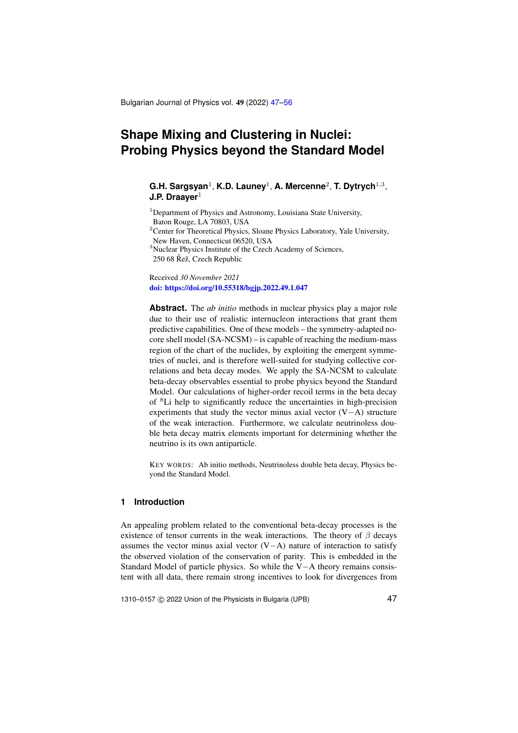Bulgarian Journal of Physics vol. 49 (2022) [47](#page-0-0)[–56](#page-7-0)

# <span id="page-0-0"></span>**Shape Mixing and Clustering in Nuclei: Probing Physics beyond the Standard Model**

# G.H. Sargsyan<sup>1</sup>, K.D. Launey<sup>1</sup>, A. Mercenne<sup>2</sup>, T. Dytrych<sup>1,3</sup>, **J.P. Draaver**<sup>1</sup>

<sup>1</sup>Department of Physics and Astronomy, Louisiana State University, Baton Rouge, LA 70803, USA

<sup>2</sup>Center for Theoretical Physics, Sloane Physics Laboratory, Yale University, New Haven, Connecticut 06520, USA

<sup>3</sup>Nuclear Physics Institute of the Czech Academy of Sciences,

 $250$  68 Rež, Czech Republic

Received *30 November 2021* [doi: https://doi.org/10.55318/bgjp.2022.49.1.047](https://doi.org/10.55318/bgjp.2022.49.1.047)

**Abstract.** The *ab initio* methods in nuclear physics play a major role due to their use of realistic internucleon interactions that grant them predictive capabilities. One of these models – the symmetry-adapted nocore shell model (SA-NCSM) – is capable of reaching the medium-mass region of the chart of the nuclides, by exploiting the emergent symmetries of nuclei, and is therefore well-suited for studying collective correlations and beta decay modes. We apply the SA-NCSM to calculate beta-decay observables essential to probe physics beyond the Standard Model. Our calculations of higher-order recoil terms in the beta decay of <sup>8</sup>Li help to significantly reduce the uncertainties in high-precision experiments that study the vector minus axial vector (V−A) structure of the weak interaction. Furthermore, we calculate neutrinoless double beta decay matrix elements important for determining whether the neutrino is its own antiparticle.

KEY WORDS: Ab initio methods, Neutrinoless double beta decay, Physics beyond the Standard Model.

# **1 Introduction**

An appealing problem related to the conventional beta-decay processes is the existence of tensor currents in the weak interactions. The theory of  $\beta$  decays assumes the vector minus axial vector (V−A) nature of interaction to satisfy the observed violation of the conservation of parity. This is embedded in the Standard Model of particle physics. So while the V−A theory remains consistent with all data, there remain strong incentives to look for divergences from

1310–0157 © 2022 Union of the Physicists in Bulgaria (UPB) 47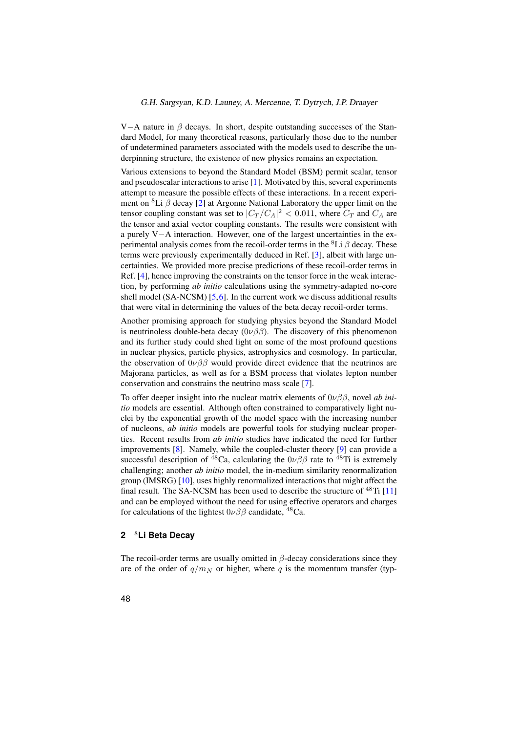V−A nature in  $\beta$  decays. In short, despite outstanding successes of the Standard Model, for many theoretical reasons, particularly those due to the number of undetermined parameters associated with the models used to describe the underpinning structure, the existence of new physics remains an expectation.

Various extensions to beyond the Standard Model (BSM) permit scalar, tensor and pseudoscalar interactions to arise [\[1\]](#page-7-1). Motivated by this, several experiments attempt to measure the possible effects of these interactions. In a recent experiment on <sup>8</sup>Li  $\beta$  decay [\[2\]](#page-7-2) at Argonne National Laboratory the upper limit on the tensor coupling constant was set to  $|C_T/C_A|^2 < 0.011$ , where  $C_T$  and  $C_A$  are the tensor and axial vector coupling constants. The results were consistent with a purely V−A interaction. However, one of the largest uncertainties in the experimental analysis comes from the recoil-order terms in the <sup>8</sup>Li  $\beta$  decay. These terms were previously experimentally deduced in Ref. [\[3\]](#page-7-3), albeit with large uncertainties. We provided more precise predictions of these recoil-order terms in Ref. [\[4\]](#page-7-4), hence improving the constraints on the tensor force in the weak interaction, by performing *ab initio* calculations using the symmetry-adapted no-core shell model (SA-NCSM) [\[5,](#page-7-5)[6\]](#page-7-6). In the current work we discuss additional results that were vital in determining the values of the beta decay recoil-order terms.

Another promising approach for studying physics beyond the Standard Model is neutrinoless double-beta decay  $(0\nu\beta\beta)$ . The discovery of this phenomenon and its further study could shed light on some of the most profound questions in nuclear physics, particle physics, astrophysics and cosmology. In particular, the observation of  $0\nu\beta\beta$  would provide direct evidence that the neutrinos are Majorana particles, as well as for a BSM process that violates lepton number conservation and constrains the neutrino mass scale [\[7\]](#page-7-7).

To offer deeper insight into the nuclear matrix elements of 0νββ, novel *ab initio* models are essential. Although often constrained to comparatively light nuclei by the exponential growth of the model space with the increasing number of nucleons, *ab initio* models are powerful tools for studying nuclear properties. Recent results from *ab initio* studies have indicated the need for further improvements [\[8\]](#page-7-8). Namely, while the coupled-cluster theory [\[9\]](#page-7-9) can provide a successful description of <sup>48</sup>Ca, calculating the  $0\nu\beta\beta$  rate to <sup>48</sup>Ti is extremely challenging; another *ab initio* model, the in-medium similarity renormalization group (IMSRG) [\[10\]](#page-7-10), uses highly renormalized interactions that might affect the final result. The SA-NCSM has been used to describe the structure of  $^{48}$ Ti [\[11\]](#page-7-11) and can be employed without the need for using effective operators and charges for calculations of the lightest  $0\nu\beta\beta$  candidate, <sup>48</sup>Ca.

#### **2** <sup>8</sup>**Li Beta Decay**

The recoil-order terms are usually omitted in  $\beta$ -decay considerations since they are of the order of  $q/m_N$  or higher, where q is the momentum transfer (typ-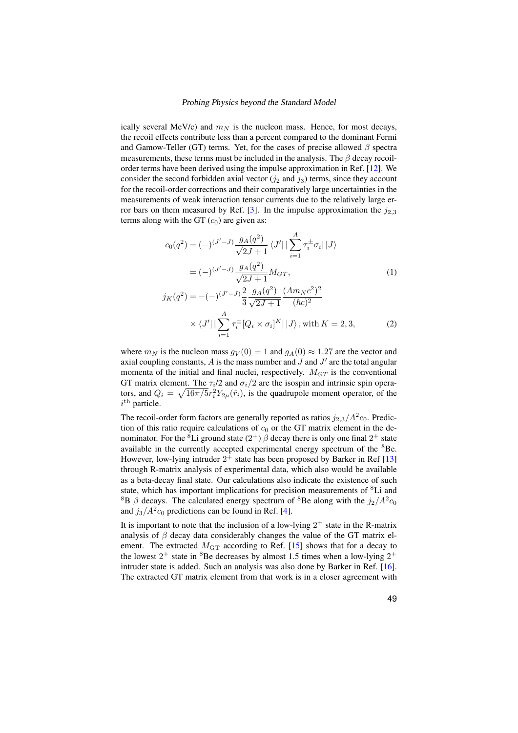ically several MeV/c) and  $m<sub>N</sub>$  is the nucleon mass. Hence, for most decays, the recoil effects contribute less than a percent compared to the dominant Fermi and Gamow-Teller (GT) terms. Yet, for the cases of precise allowed  $\beta$  spectra measurements, these terms must be included in the analysis. The  $\beta$  decay recoilorder terms have been derived using the impulse approximation in Ref. [\[12\]](#page-8-0). We consider the second forbidden axial vector ( $j_2$  and  $j_3$ ) terms, since they account for the recoil-order corrections and their comparatively large uncertainties in the measurements of weak interaction tensor currents due to the relatively large er-ror bars on them measured by Ref. [\[3\]](#page-7-3). In the impulse approximation the  $j_{2,3}$ terms along with the GT  $(c_0)$  are given as:

$$
c_0(q^2) = (-)^{(J'-J)} \frac{g_A(q^2)}{\sqrt{2J+1}} \langle J' | \sum_{i=1}^A \tau_i^{\pm} \sigma_i | J \rangle
$$
  
\n
$$
= (-)^{(J'-J)} \frac{g_A(q^2)}{\sqrt{2J+1}} M_{GT}, \qquad (1)
$$
  
\n
$$
j_K(q^2) = -(-)^{(J'-J)} \frac{2}{3} \frac{g_A(q^2)}{\sqrt{2J+1}} \frac{(Am_Nc^2)^2}{(\hbar c)^2}
$$
  
\n
$$
\times \langle J' | \sum_{i=1}^A \tau_i^{\pm} [Q_i \times \sigma_i]^K | J \rangle, \text{ with } K = 2, 3, \qquad (2)
$$

where  $m_N$  is the nucleon mass  $g_V(0) = 1$  and  $g_A(0) \approx 1.27$  are the vector and axial coupling constants,  $\vec{A}$  is the mass number and  $\vec{J}$  and  $\vec{J}'$  are the total angular momenta of the initial and final nuclei, respectively.  $M_{GT}$  is the conventional GT matrix element. The  $\tau_i/2$  and  $\sigma_i/2$  are the isospin and intrinsic spin operators, and  $Q_i = \sqrt{16\pi/5}r_i^2 Y_{2\mu}(\hat{r}_i)$ , is the quadrupole moment operator, of the  $i^{\text{th}}$  particle.

The recoil-order form factors are generally reported as ratios  $j_{2,3}/A^2c_0$ . Prediction of this ratio require calculations of  $c_0$  or the GT matrix element in the denominator. For the <sup>8</sup>Li ground state  $(2^+)$   $\beta$  decay there is only one final  $2^+$  state available in the currently accepted experimental energy spectrum of the  ${}^{8}$ Be. However, low-lying intruder  $2^+$  state has been proposed by Barker in Ref [\[13\]](#page-8-1) through R-matrix analysis of experimental data, which also would be available as a beta-decay final state. Our calculations also indicate the existence of such state, which has important implications for precision measurements of <sup>8</sup>Li and <sup>8</sup>B  $\beta$  decays. The calculated energy spectrum of <sup>8</sup>Be along with the  $j_2/A^2c_0$ and  $j_3/A^2c_0$  predictions can be found in Ref. [\[4\]](#page-7-4).

It is important to note that the inclusion of a low-lying  $2^+$  state in the R-matrix analysis of  $\beta$  decay data considerably changes the value of the GT matrix element. The extracted  $M<sub>GT</sub>$  according to Ref. [\[15\]](#page-8-2) shows that for a decay to the lowest  $2^+$  state in <sup>8</sup>Be decreases by almost 1.5 times when a low-lying  $2^+$ intruder state is added. Such an analysis was also done by Barker in Ref. [\[16\]](#page-8-3). The extracted GT matrix element from that work is in a closer agreement with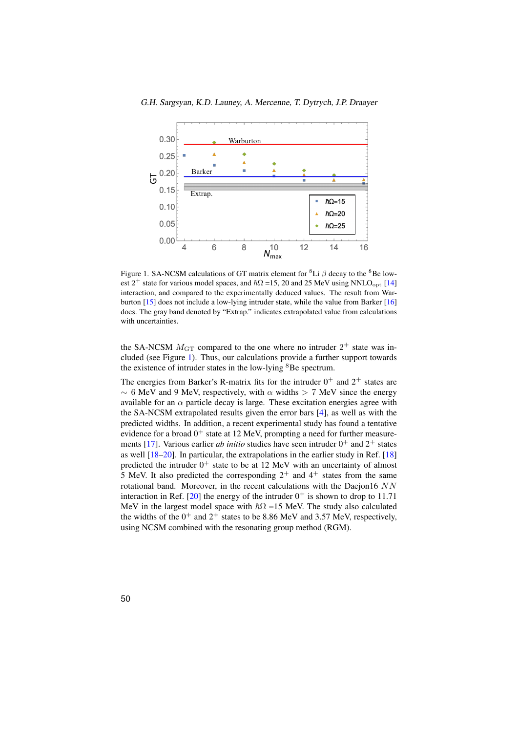

<span id="page-3-0"></span>Figure 1. SA-NCSM calculations of GT matrix element for <sup>8</sup>Li  $\beta$  decay to the <sup>8</sup>Be lowest  $2^+$  state for various model spaces, and  $\hbar\Omega$  =15, 20 and 25 MeV using NNLO<sub>opt</sub> [\[14\]](#page-8-4) interaction, and compared to the experimentally deduced values. The result from Warburton [\[15\]](#page-8-2) does not include a low-lying intruder state, while the value from Barker [\[16\]](#page-8-3) does. The gray band denoted by "Extrap." indicates extrapolated value from calculations with uncertainties.

the SA-NCSM  $M<sub>GT</sub>$  compared to the one where no intruder  $2^+$  state was included (see Figure [1\)](#page-3-0). Thus, our calculations provide a further support towards the existence of intruder states in the low-lying  ${}^{8}$ Be spectrum.

The energies from Barker's R-matrix fits for the intruder  $0^+$  and  $2^+$  states are  $\sim 6$  MeV and 9 MeV, respectively, with  $\alpha$  widths > 7 MeV since the energy available for an  $\alpha$  particle decay is large. These excitation energies agree with the SA-NCSM extrapolated results given the error bars [\[4\]](#page-7-4), as well as with the predicted widths. In addition, a recent experimental study has found a tentative evidence for a broad  $0^+$  state at 12 MeV, prompting a need for further measure-ments [\[17\]](#page-8-5). Various earlier *ab initio* studies have seen intruder  $0^+$  and  $2^+$  states as well [\[18–](#page-8-6)[20\]](#page-8-7). In particular, the extrapolations in the earlier study in Ref. [\[18\]](#page-8-6) predicted the intruder  $0^+$  state to be at 12 MeV with an uncertainty of almost 5 MeV. It also predicted the corresponding  $2^+$  and  $4^+$  states from the same rotational band. Moreover, in the recent calculations with the Daejon16  $NN$ interaction in Ref. [\[20\]](#page-8-7) the energy of the intruder  $0^+$  is shown to drop to 11.71 MeV in the largest model space with  $\hbar\Omega$  =15 MeV. The study also calculated the widths of the  $0^+$  and  $2^+$  states to be 8.86 MeV and 3.57 MeV, respectively, using NCSM combined with the resonating group method (RGM).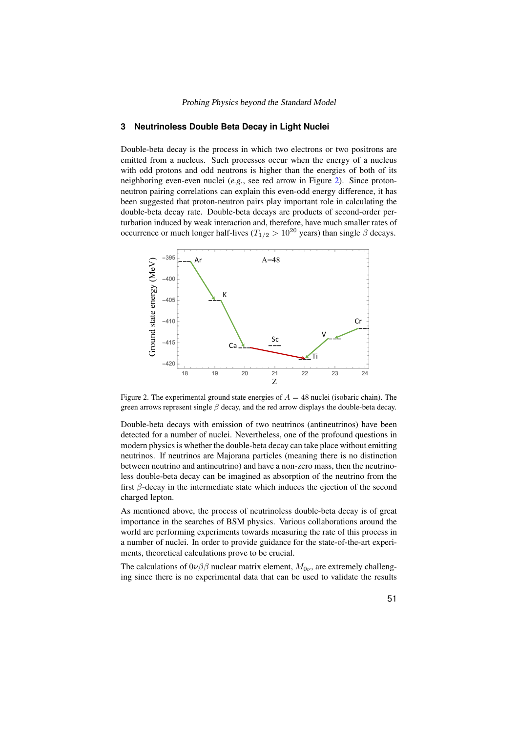#### **3 Neutrinoless Double Beta Decay in Light Nuclei**

Double-beta decay is the process in which two electrons or two positrons are emitted from a nucleus. Such processes occur when the energy of a nucleus with odd protons and odd neutrons is higher than the energies of both of its neighboring even-even nuclei (*e.g.*, see red arrow in Figure [2\)](#page-4-0). Since protonneutron pairing correlations can explain this even-odd energy difference, it has been suggested that proton-neutron pairs play important role in calculating the double-beta decay rate. Double-beta decays are products of second-order perturbation induced by weak interaction and, therefore, have much smaller rates of occurrence or much longer half-lives ( $T_{1/2} > 10^{20}$  years) than single  $\beta$  decays.



<span id="page-4-0"></span>Figure 2. The experimental ground state energies of  $A = 48$  nuclei (isobaric chain). The green arrows represent single  $\beta$  decay, and the red arrow displays the double-beta decay.

Double-beta decays with emission of two neutrinos (antineutrinos) have been detected for a number of nuclei. Nevertheless, one of the profound questions in modern physics is whether the double-beta decay can take place without emitting neutrinos. If neutrinos are Majorana particles (meaning there is no distinction between neutrino and antineutrino) and have a non-zero mass, then the neutrinoless double-beta decay can be imagined as absorption of the neutrino from the first  $\beta$ -decay in the intermediate state which induces the ejection of the second charged lepton.

As mentioned above, the process of neutrinoless double-beta decay is of great importance in the searches of BSM physics. Various collaborations around the world are performing experiments towards measuring the rate of this process in a number of nuclei. In order to provide guidance for the state-of-the-art experiments, theoretical calculations prove to be crucial.

The calculations of  $0\nu\beta\beta$  nuclear matrix element,  $M_{0\nu}$ , are extremely challenging since there is no experimental data that can be used to validate the results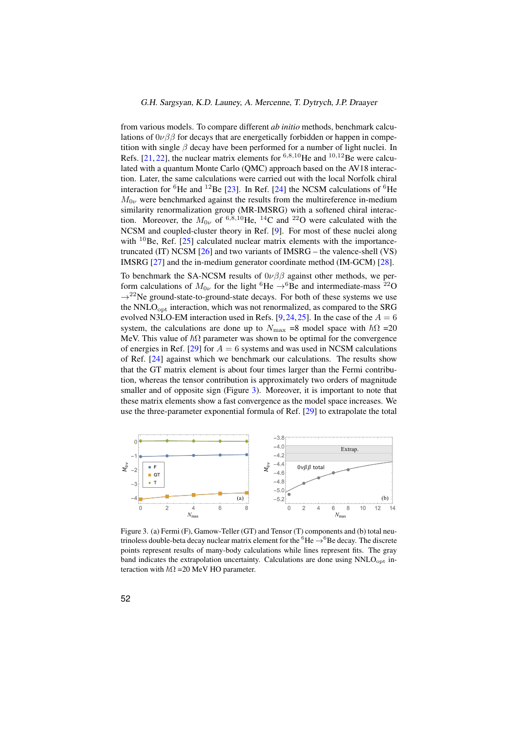from various models. To compare different *ab initio* methods, benchmark calculations of  $0\nu\beta\beta$  for decays that are energetically forbidden or happen in competition with single  $\beta$  decay have been performed for a number of light nuclei. In Refs.  $[21, 22]$  $[21, 22]$  $[21, 22]$ , the nuclear matrix elements for <sup>6,8,10</sup>He and <sup>10,12</sup>Be were calculated with a quantum Monte Carlo (QMC) approach based on the AV18 interaction. Later, the same calculations were carried out with the local Norfolk chiral interaction for <sup>6</sup>He and <sup>12</sup>Be [\[23\]](#page-8-10). In Ref. [\[24\]](#page-8-11) the NCSM calculations of <sup>6</sup>He  $M_{0\nu}$  were benchmarked against the results from the multireference in-medium similarity renormalization group (MR-IMSRG) with a softened chiral interaction. Moreover, the  $M_{0\nu}$  of <sup>6,8,10</sup>He, <sup>14</sup>C and <sup>22</sup>O were calculated with the NCSM and coupled-cluster theory in Ref. [\[9\]](#page-7-9). For most of these nuclei along with  $10Be$ , Ref. [\[25\]](#page-8-12) calculated nuclear matrix elements with the importancetruncated (IT) NCSM [\[26\]](#page-8-13) and two variants of IMSRG – the valence-shell (VS) IMSRG [\[27\]](#page-8-14) and the in-medium generator coordinate method (IM-GCM) [\[28\]](#page-8-15).

To benchmark the SA-NCSM results of  $0\nu\beta\beta$  against other methods, we perform calculations of  $M_{0\nu}$  for the light <sup>6</sup>He  $\rightarrow$ <sup>6</sup>Be and intermediate-mass <sup>22</sup>O  $\rightarrow$ <sup>22</sup>Ne ground-state-to-ground-state decays. For both of these systems we use the  $NNLO<sub>opt</sub>$  interaction, which was not renormalized, as compared to the SRG evolved N3LO-EM interaction used in Refs. [\[9,](#page-7-9)[24,](#page-8-11)[25\]](#page-8-12). In the case of the  $A = 6$ system, the calculations are done up to  $N_{\text{max}} = 8$  model space with  $\hbar\Omega = 20$ MeV. This value of  $\hbar\Omega$  parameter was shown to be optimal for the convergence of energies in Ref. [\[29\]](#page-8-16) for  $A = 6$  systems and was used in NCSM calculations of Ref. [\[24\]](#page-8-11) against which we benchmark our calculations. The results show that the GT matrix element is about four times larger than the Fermi contribution, whereas the tensor contribution is approximately two orders of magnitude smaller and of opposite sign (Figure [3\)](#page-5-0). Moreover, it is important to note that these matrix elements show a fast convergence as the model space increases. We use the three-parameter exponential formula of Ref. [\[29\]](#page-8-16) to extrapolate the total



<span id="page-5-0"></span>Figure 3. (a) Fermi (F), Gamow-Teller (GT) and Tensor (T) components and (b) total neutrinoless double-beta decay nuclear matrix element for the  ${}^{6}$ He  $\rightarrow {}^{6}$ Be decay. The discrete points represent results of many-body calculations while lines represent fits. The gray band indicates the extrapolation uncertainty. Calculations are done using  $NNLO<sub>opt</sub>$  interaction with  $\hbar\Omega$  =20 MeV HO parameter.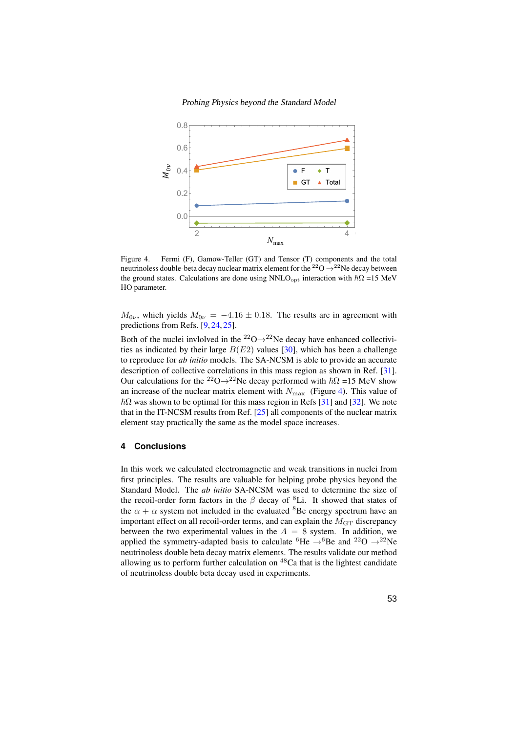

<span id="page-6-0"></span>Figure 4. Fermi (F), Gamow-Teller (GT) and Tensor (T) components and the total neutrinoless double-beta decay nuclear matrix element for the  $^{22}O \rightarrow ^{22}Ne$  decay between the ground states. Calculations are done using NNLO<sub>opt</sub> interaction with  $\hbar\Omega$  =15 MeV HO parameter.

 $M_{0\nu}$ , which yields  $M_{0\nu} = -4.16 \pm 0.18$ . The results are in agreement with predictions from Refs. [\[9,](#page-7-9) [24,](#page-8-11) [25\]](#page-8-12).

Both of the nuclei invlolved in the <sup>22</sup>O $\rightarrow$ <sup>22</sup>Ne decay have enhanced collectivities as indicated by their large  $B(E2)$  values [\[30\]](#page-8-17), which has been a challenge to reproduce for *ab initio* models. The SA-NCSM is able to provide an accurate description of collective correlations in this mass region as shown in Ref. [\[31\]](#page-9-0). Our calculations for the <sup>22</sup>O→<sup>22</sup>Ne decay performed with  $\hbar\Omega$  =15 MeV show an increase of the nuclear matrix element with  $N_{\text{max}}$  (Figure [4\)](#page-6-0). This value of  $\hbar\Omega$  was shown to be optimal for this mass region in Refs [\[31\]](#page-9-0) and [\[32\]](#page-9-1). We note that in the IT-NCSM results from Ref. [\[25\]](#page-8-12) all components of the nuclear matrix element stay practically the same as the model space increases.

# **4 Conclusions**

In this work we calculated electromagnetic and weak transitions in nuclei from first principles. The results are valuable for helping probe physics beyond the Standard Model. The *ab initio* SA-NCSM was used to determine the size of the recoil-order form factors in the  $\beta$  decay of <sup>8</sup>Li. It showed that states of the  $\alpha + \alpha$  system not included in the evaluated <sup>8</sup>Be energy spectrum have an important effect on all recoil-order terms, and can explain the  $M<sub>GT</sub>$  discrepancy between the two experimental values in the  $A = 8$  system. In addition, we applied the symmetry-adapted basis to calculate <sup>6</sup>He  $\rightarrow$ <sup>6</sup>Be and <sup>22</sup>O  $\rightarrow$ <sup>22</sup>Ne neutrinoless double beta decay matrix elements. The results validate our method allowing us to perform further calculation on  $48$ Ca that is the lightest candidate of neutrinoless double beta decay used in experiments.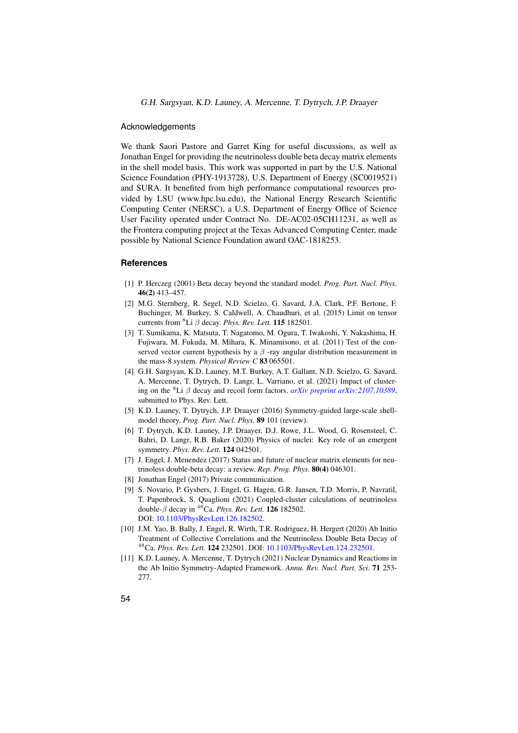G.H. Sargsyan, K.D. Launey, A. Mercenne, T. Dytrych, J.P. Draayer

#### Acknowledgements

We thank Saori Pastore and Garret King for useful discussions, as well as Jonathan Engel for providing the neutrinoless double beta decay matrix elements in the shell model basis. This work was supported in part by the U.S. National Science Foundation (PHY-1913728), U.S. Department of Energy (SC0019521) and SURA. It benefited from high performance computational resources provided by LSU (www.hpc.lsu.edu), the National Energy Research Scientific Computing Center (NERSC), a U.S. Department of Energy Office of Science User Facility operated under Contract No. DE-AC02-05CH11231, as well as the Frontera computing project at the Texas Advanced Computing Center, made possible by National Science Foundation award OAC-1818253.

#### <span id="page-7-0"></span>**References**

- <span id="page-7-1"></span>[1] P. Herczeg (2001) Beta decay beyond the standard model. *Prog. Part. Nucl. Phys.* 46(2) 413–457.
- <span id="page-7-2"></span>[2] M.G. Sternberg, R. Segel, N.D. Scielzo, G. Savard, J.A. Clark, P.F. Bertone, F. Buchinger, M. Burkey, S. Caldwell, A. Chaudhuri, et al. (2015) Limit on tensor currents from <sup>8</sup>Li  $\beta$  decay. *Phys. Rev. Lett.* **115** 182501.
- <span id="page-7-3"></span>[3] T. Sumikama, K. Matsuta, T. Nagatomo, M. Ogura, T. Iwakoshi, Y. Nakashima, H. Fujiwara, M. Fukuda, M. Mihara, K. Minamisono, et al. (2011) Test of the conserved vector current hypothesis by a  $\beta$ -ray angular distribution measurement in the mass-8 system. *Physical Review C* 83 065501.
- <span id="page-7-4"></span>[4] G.H. Sargsyan, K.D. Launey, M.T. Burkey, A.T. Gallant, N.D. Scielzo, G. Savard, A. Mercenne, T. Dytrych, D. Langr, L. Varriano, et al. (2021) Impact of clustering on the <sup>8</sup>Li  $\beta$  decay and recoil form factors. *[arXiv preprint arXiv:2107.10389](https://arxiv.org/abs/2107.10389)*, submitted to Phys. Rev. Lett.
- <span id="page-7-5"></span>[5] K.D. Launey, T. Dytrych, J.P. Draayer (2016) Symmetry-guided large-scale shellmodel theory. *Prog. Part. Nucl. Phys.* 89 101 (review).
- <span id="page-7-6"></span>[6] T. Dytrych, K.D. Launey, J.P. Draayer, D.J. Rowe, J.L. Wood, G. Rosensteel, C. Bahri, D. Langr, R.B. Baker (2020) Physics of nuclei: Key role of an emergent symmetry. *Phys. Rev. Lett.* 124 042501.
- <span id="page-7-7"></span>[7] J. Engel, J. Menendez (2017) Status and future of nuclear matrix elements for neutrinoless double-beta decay: a review. *Rep. Prog. Phys.* 80(4) 046301.
- <span id="page-7-8"></span>[8] Jonathan Engel (2017) Private communication.
- <span id="page-7-9"></span>[9] S. Novario, P. Gysbers, J. Engel, G. Hagen, G.R. Jansen, T.D. Morris, P. Navratil, T. Papenbrock, S. Quaglioni (2021) Coupled-cluster calculations of neutrinoless double-β decay in <sup>48</sup>Ca. *Phys. Rev. Lett.* 126 182502. DOI: [10.1103/PhysRevLett.126.182502.](https://doi.org/10.1103/PhysRevLett.126.182502)
- <span id="page-7-10"></span>[10] J.M. Yao, B. Bally, J. Engel, R. Wirth, T.R. Rodriguez, H. Hergert (2020) Ab Initio Treatment of Collective Correlations and the Neutrinoless Double Beta Decay of <sup>48</sup>Ca. *Phys. Rev. Lett.* 124 232501. DOI: [10.1103/PhysRevLett.124.232501.](https://doi.org/10.1103/PhysRevLett.124.232501)
- <span id="page-7-11"></span>[11] K.D. Launey, A. Mercenne, T. Dytrych (2021) Nuclear Dynamics and Reactions in the Ab Initio Symmetry-Adapted Framework. *Annu. Rev. Nucl. Part. Sci.* 71 253- 277.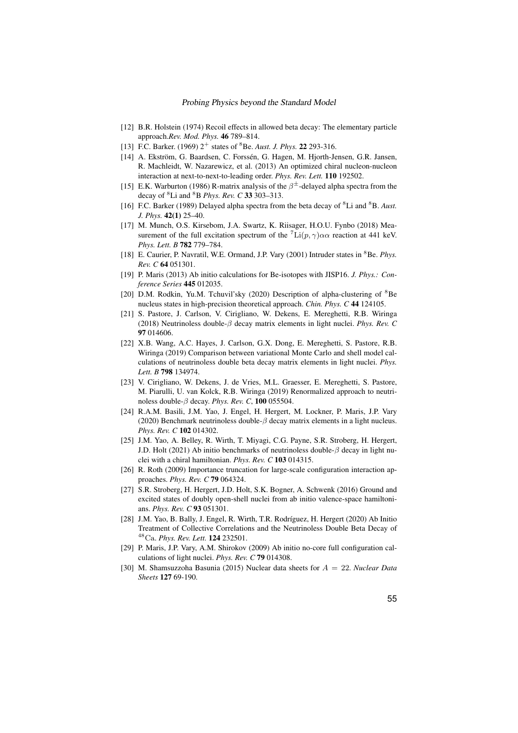- <span id="page-8-0"></span>[12] B.R. Holstein (1974) Recoil effects in allowed beta decay: The elementary particle approach.*Rev. Mod. Phys.* 46 789–814.
- <span id="page-8-1"></span>[13] F.C. Barker. (1969)  $2^+$  states of <sup>8</sup>Be. *Aust. J. Phys.* **22** 293-316.
- <span id="page-8-4"></span>[14] A. Ekström, G. Baardsen, C. Forssén, G. Hagen, M. Hjorth-Jensen, G.R. Jansen, R. Machleidt, W. Nazarewicz, et al. (2013) An optimized chiral nucleon-nucleon interaction at next-to-next-to-leading order. *Phys. Rev. Lett.* 110 192502.
- <span id="page-8-2"></span>[15] E.K. Warburton (1986) R-matrix analysis of the  $\beta^{\pm}$ -delayed alpha spectra from the decay of <sup>8</sup>Li and <sup>8</sup>B *Phys. Rev. C* 33 303–313.
- <span id="page-8-3"></span>[16] F.C. Barker (1989) Delayed alpha spectra from the beta decay of <sup>8</sup>Li and <sup>8</sup>B. *Aust. J. Phys.* 42(1) 25–40.
- <span id="page-8-5"></span>[17] M. Munch, O.S. Kirsebom, J.A. Swartz, K. Riisager, H.O.U. Fynbo (2018) Measurement of the full excitation spectrum of the  ${}^{7}\text{Li}(p, \gamma) \alpha \alpha$  reaction at 441 keV. *Phys. Lett. B* 782 779–784.
- <span id="page-8-6"></span>[18] E. Caurier, P. Navratil, W.E. Ormand, J.P. Vary (2001) Intruder states in <sup>8</sup>Be. *Phys. Rev. C* 64 051301.
- [19] P. Maris (2013) Ab initio calculations for Be-isotopes with JISP16. *J. Phys.: Conference Series* 445 012035.
- <span id="page-8-7"></span>[20] D.M. Rodkin, Yu.M. Tchuvil'sky (2020) Description of alpha-clustering of <sup>8</sup>Be nucleus states in high-precision theoretical approach. *Chin. Phys. C* 44 124105.
- <span id="page-8-8"></span>[21] S. Pastore, J. Carlson, V. Cirigliano, W. Dekens, E. Mereghetti, R.B. Wiringa (2018) Neutrinoless double-β decay matrix elements in light nuclei. *Phys. Rev. C* 97 014606.
- <span id="page-8-9"></span>[22] X.B. Wang, A.C. Hayes, J. Carlson, G.X. Dong, E. Mereghetti, S. Pastore, R.B. Wiringa (2019) Comparison between variational Monte Carlo and shell model calculations of neutrinoless double beta decay matrix elements in light nuclei. *Phys. Lett. B* 798 134974.
- <span id="page-8-10"></span>[23] V. Cirigliano, W. Dekens, J. de Vries, M.L. Graesser, E. Mereghetti, S. Pastore, M. Piarulli, U. van Kolck, R.B. Wiringa (2019) Renormalized approach to neutrinoless double-β decay. *Phys. Rev. C*, 100 055504.
- <span id="page-8-11"></span>[24] R.A.M. Basili, J.M. Yao, J. Engel, H. Hergert, M. Lockner, P. Maris, J.P. Vary (2020) Benchmark neutrinoless double- $\beta$  decay matrix elements in a light nucleus. *Phys. Rev. C* 102 014302.
- <span id="page-8-12"></span>[25] J.M. Yao, A. Belley, R. Wirth, T. Miyagi, C.G. Payne, S.R. Stroberg, H. Hergert, J.D. Holt (2021) Ab initio benchmarks of neutrinoless double- $\beta$  decay in light nuclei with a chiral hamiltonian. *Phys. Rev. C* 103 014315.
- <span id="page-8-13"></span>[26] R. Roth (2009) Importance truncation for large-scale configuration interaction approaches. *Phys. Rev. C* 79 064324.
- <span id="page-8-14"></span>[27] S.R. Stroberg, H. Hergert, J.D. Holt, S.K. Bogner, A. Schwenk (2016) Ground and excited states of doubly open-shell nuclei from ab initio valence-space hamiltonians. *Phys. Rev. C* 93 051301.
- <span id="page-8-15"></span>[28] J.M. Yao, B. Bally, J. Engel, R. Wirth, T.R. Rodríguez, H. Hergert (2020) Ab Initio Treatment of Collective Correlations and the Neutrinoless Double Beta Decay of <sup>48</sup>Ca. *Phys. Rev. Lett.* 124 232501.
- <span id="page-8-16"></span>[29] P. Maris, J.P. Vary, A.M. Shirokov (2009) Ab initio no-core full configuration calculations of light nuclei. *Phys. Rev. C* 79 014308.
- <span id="page-8-17"></span>[30] M. Shamsuzzoha Basunia (2015) Nuclear data sheets for A = 22. *Nuclear Data Sheets* 127 69-190.